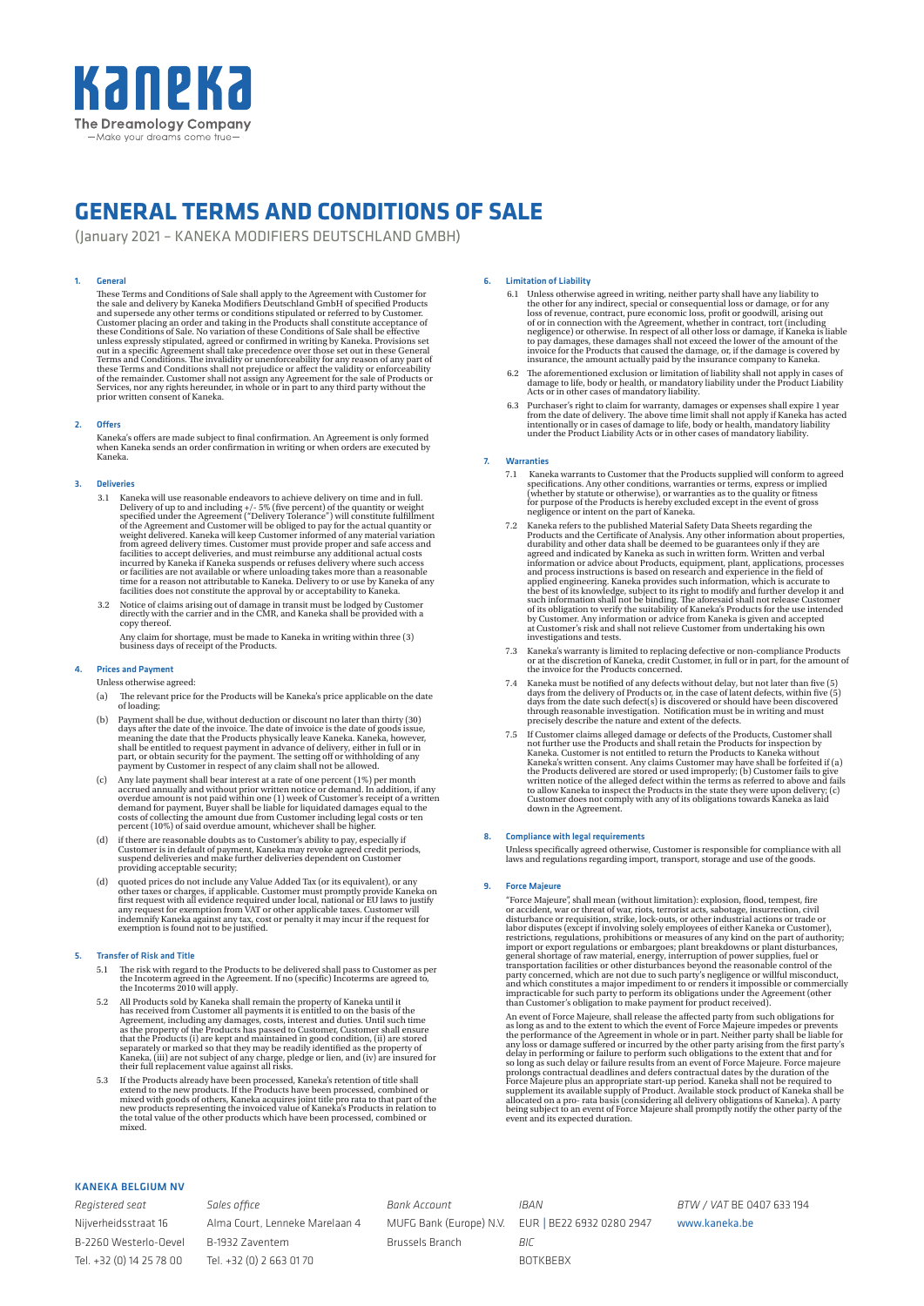

# **GENERAL TERMS AND CONDITIONS OF SALE**

(January 2021 – KANEKA MODIFIERS DEUTSCHLAND GMBH)

## 1. General

These Terms and Conditions of Sale shall apply to the Agreement with Customer for<br>the sale and delivery by Kaneka Modifiers Deutschland GmbH of specified Products<br>and supersede any other terms or conditions stipulated or r unless expressly stipulated, agreed or confirmed in writing by Kaneka. Provisions set<br>out in a specific Agreement shall take precedence over those set out in these General<br>Terms and Conditions. The invalidity or unenforcea

## 2. Offers

Kaneka's offers are made subject to final confirmation. An Agreement is only formed<br>when Kaneka sends an order confirmation in writing or when orders are executed by<br>Kaneka.

## 3. Deliveries

- 3.1 Kaneka will use reasonable endeavors to achieve delivery on time and in full. Delivery of up to and including  $+/-$  5% (five percent) of the quantity or weight specified under the Agreement ("Delivery Tolerance") will
- 3.2 Notice of claims arising out of damage in transit must be lodged by Customer directly with the carrier and in the CMR, and Kaneka shall be provided with a copy thereof.

Any claim for shortage, must be made to Kaneka in writing within three (3) business days of receipt of the Products.

## 4. Prices and Payment

Unless otherwise agreed:

- (a) The relevant price for the Products will be Kaneka's price applicable on the date of loading;
- (b) Payment shall be due, without deduction or discount no later than thirty (30) days after the date of the invoice. The date of invoice is the date of goods issue, meaning the date that the Products physically leave is shall be entitled to request payment in advance of delivery, either in full or in p
- (c) Any late payment shall bear interest at a rate of one percent (1%) per month<br>accrued annually and without prior written notice or demand. In addition, if any<br>overdue amount is not paid within one (1) week of Customer'
- (d) if there are reasonable doubts as to Customer's ability to pay, especially if Customer is in default of payment, Kaneka may revoke agreed credit periods, suspend deliveries and make further deliveries dependent on Cust providing acceptable security;
- (d) quoted prices do not include any Value Added Tax (or its equivalent), or any<br>other taxes or charges, if applicable. Customer must promptly provide Kaneka on<br>first request with all evidence required under local, nationa

## 5. Transfer of Risk and Title

- 5.1 The risk with regard to the Products to be delivered shall pass to Customer as per the Incoterm agreed in the Agreement. If no (specific) Incoterms are agreed to, the Incoterms 2010 will apply.
- 5.2 All Products sold by Kaneka shall remain the property of Kaneka until it<br>has received from Customer all payments it is entitled to on the basis of the<br>Agreement, including any damages, costs, interest and duties. Unti
- 5.3 If the Products already have been processed, Kaneka's retention of title shall extend to the new products. If the Products have been processed, combined or mixed with goods of others, Kaneka acquires joint title pro r

## 6. Limitation of Liability

- 6.1 Unless otherwise agreed in writing, neither party shall have any liability to<br>the other for any indirect, special or consequential loss of reacher of any<br>loss of revenue, contract, pure economic loss, profit or goodwi
- 6.2 The aforementioned exclusion or limitation of liability shall not apply in cases of damage to life, body or health, or mandatory liability under the Product Liability Acts or in other cases of mandatory liability.
- 6.3 Purchaser's right to claim for warranty, damages or expenses shall expire 1 year from the date of delivery. The above time limit shall not apply if Kaneka has acted intentionally or in cases of damage to life, body or

#### **Warranties**

- 7.1 Kaneka warrants to Customer that the Products supplied will conform to agreed specifications. Any other conditions, warranties or terms, express or implied (whether by statute or otherwise), or warranties as to the qu
- 7.2 Kaneka refers to the published Material Safety Data Sheets regarding the Products and the Certificate of Analysis. Any other information about properties, durability and other data shall be deemed to be guarantees only information or advice about Products, equipment, plant, applications, processes<br>and process instructions is based on research and experience in the field of<br>applied engineering. Kaneka provides such information, which is a investigations and tests.
- 7.3 Kaneka's warranty is limited to replacing defective or non-compliance Products or at the discretion of Kaneka, credit Customer, in full or in part, for the amount of the invoice for the Products concerned.
- 7.4 Kaneka must be notified of any defects without delay, but not later than five (5) days from the delivery of Products or, in the case of latent defects, within five (5) days from the date such defect(s) is discovered o
- 7.5 If Customer claims alleged damage or defects of the Products, Customer shall not further use the Products and shall retain the Products for inspection by Kaneka. Customer is not entitled to return the Products to Kane

## 8. Compliance with legal requirements

Unless specifically agreed otherwise, Customer is responsible for compliance with all laws and regulations regarding import, transport, storage and use of the goods.

### 9. Force Majeure

"force Majeure", shall mean (without limitation): explosion, flood, tempest, fire<br>or accident, war or threat of war, riots, terrorist acts, sabotage, insurrection, civil<br>disturbance or requisition, strike, lock-outs, or o

An event of Force Majeure, shall release the affected party from such obligations for an eas long as and to the extent to which the event of Force Majeure impedes or prevents the performance of the Agreement in whole or in

## KANEKA BELGIUM NV

*Registered seat* Nijverheidsstraat 16 B-2260 Westerlo-Oevel Tel. +32 (0) 14 25 78 00

*Sales office* Alma Court, Lenneke Marelaan 4 B-1932 Zaventem Tel. +32 (0) 2 663 01 70

*Bank Account* MUFG Bank (Europe) N.V. Brussels Branch

*IBAN* EUR | BE22 6932 0280 2947 *BIC* BOTKBEBX

*BTW / VAT* BE 0407 633 194

www.kaneka.be